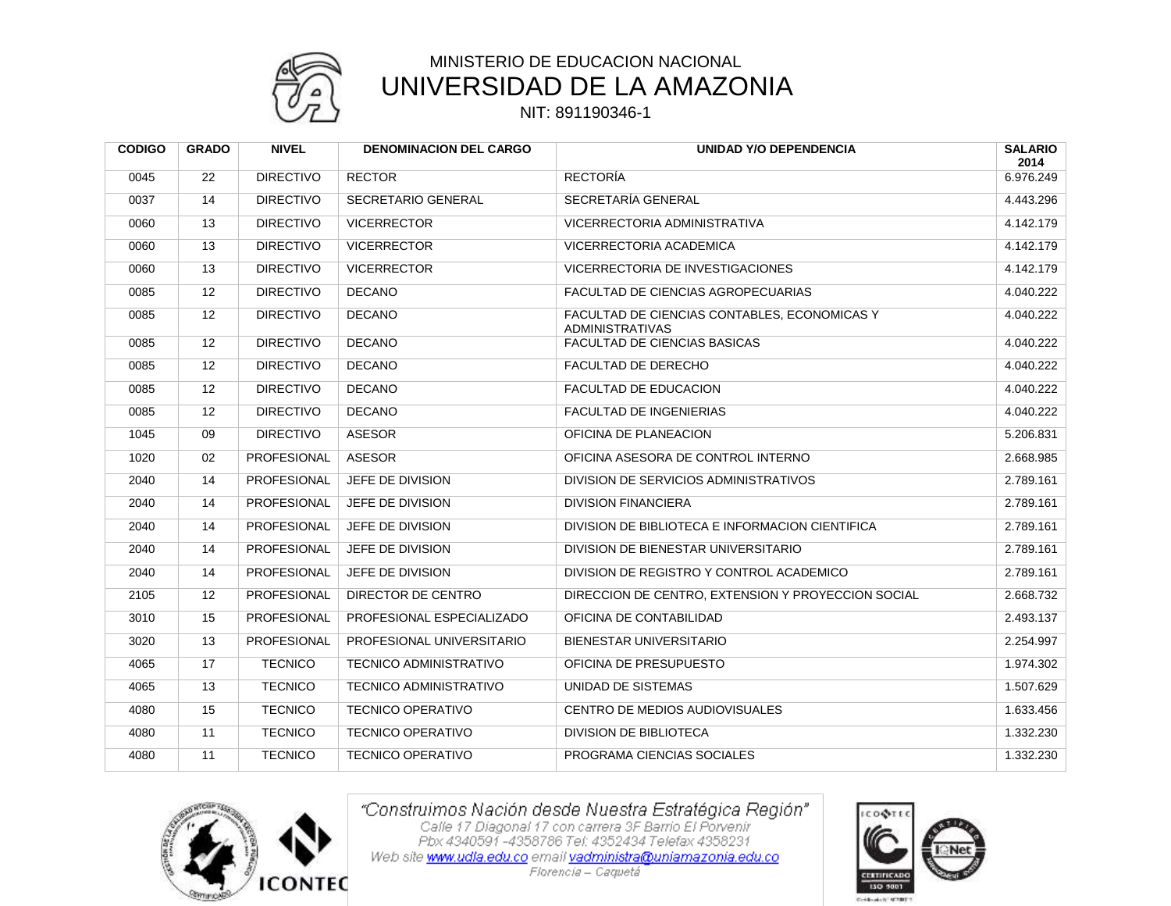

## MINISTERIO DE EDUCACION NACIONAL UNIVERSIDAD DE LA AMAZONIA

NIT: 891190346-1

| <b>CODIGO</b> | <b>GRADO</b> | <b>NIVEL</b>       | <b>DENOMINACION DEL CARGO</b> | <b>UNIDAD Y/O DEPENDENCIA</b>                                          | <b>SALARIO</b><br>2014 |
|---------------|--------------|--------------------|-------------------------------|------------------------------------------------------------------------|------------------------|
| 0045          | 22           | <b>DIRECTIVO</b>   | <b>RECTOR</b>                 | <b>RECTORÍA</b>                                                        | 6.976.249              |
| 0037          | 14           | <b>DIRECTIVO</b>   | SECRETARIO GENERAL            | SECRETARÍA GENERAL                                                     | 4.443.296              |
| 0060          | 13           | <b>DIRECTIVO</b>   | <b>VICERRECTOR</b>            | VICERRECTORIA ADMINISTRATIVA                                           | 4.142.179              |
| 0060          | 13           | <b>DIRECTIVO</b>   | <b>VICERRECTOR</b>            | VICERRECTORIA ACADEMICA                                                | 4.142.179              |
| 0060          | 13           | <b>DIRECTIVO</b>   | <b>VICERRECTOR</b>            | VICERRECTORIA DE INVESTIGACIONES                                       | 4.142.179              |
| 0085          | 12           | <b>DIRECTIVO</b>   | <b>DECANO</b>                 | FACULTAD DE CIENCIAS AGROPECUARIAS                                     | 4.040.222              |
| 0085          | 12           | <b>DIRECTIVO</b>   | <b>DECANO</b>                 | FACULTAD DE CIENCIAS CONTABLES, ECONOMICAS Y<br><b>ADMINISTRATIVAS</b> | 4.040.222              |
| 0085          | 12           | <b>DIRECTIVO</b>   | <b>DECANO</b>                 | FACULTAD DE CIENCIAS BASICAS                                           | 4.040.222              |
| 0085          | 12           | <b>DIRECTIVO</b>   | <b>DECANO</b>                 | FACULTAD DE DERECHO                                                    | 4.040.222              |
| 0085          | 12           | <b>DIRECTIVO</b>   | <b>DECANO</b>                 | FACULTAD DE EDUCACION                                                  | 4.040.222              |
| 0085          | 12           | <b>DIRECTIVO</b>   | <b>DECANO</b>                 | <b>FACULTAD DE INGENIERIAS</b>                                         | 4.040.222              |
| 1045          | 09           | <b>DIRECTIVO</b>   | <b>ASESOR</b>                 | OFICINA DE PLANEACION                                                  | 5.206.831              |
| 1020          | 02           | PROFESIONAL        | ASESOR                        | OFICINA ASESORA DE CONTROL INTERNO                                     | 2.668.985              |
| 2040          | 14           | PROFESIONAL        | JEFE DE DIVISION              | DIVISION DE SERVICIOS ADMINISTRATIVOS                                  | 2.789.161              |
| 2040          | 14           | PROFESIONAL        | JEFE DE DIVISION              | <b>DIVISION FINANCIERA</b>                                             | 2.789.161              |
| 2040          | 14           | PROFESIONAL        | JEFE DE DIVISION              | DIVISION DE BIBLIOTECA E INFORMACION CIENTIFICA                        | 2.789.161              |
| 2040          | 14           | PROFESIONAL        | JEFE DE DIVISION              | DIVISION DE BIENESTAR UNIVERSITARIO                                    | 2.789.161              |
| 2040          | 14           | <b>PROFESIONAL</b> | JEFE DE DIVISION              | DIVISION DE REGISTRO Y CONTROL ACADEMICO                               | 2.789.161              |
| 2105          | 12           | <b>PROFESIONAL</b> | DIRECTOR DE CENTRO            | DIRECCION DE CENTRO, EXTENSION Y PROYECCION SOCIAL                     | 2.668.732              |
| 3010          | 15           | PROFESIONAL        | PROFESIONAL ESPECIALIZADO     | OFICINA DE CONTABILIDAD                                                | 2.493.137              |
| 3020          | 13           | PROFESIONAL        | PROFESIONAL UNIVERSITARIO     | <b>BIENESTAR UNIVERSITARIO</b>                                         | 2.254.997              |
| 4065          | 17           | <b>TECNICO</b>     | TECNICO ADMINISTRATIVO        | OFICINA DE PRESUPUESTO                                                 | 1.974.302              |
| 4065          | 13           | <b>TECNICO</b>     | <b>TECNICO ADMINISTRATIVO</b> | UNIDAD DE SISTEMAS                                                     | 1.507.629              |
| 4080          | 15           | <b>TECNICO</b>     | <b>TECNICO OPERATIVO</b>      | CENTRO DE MEDIOS AUDIOVISUALES                                         | 1.633.456              |
| 4080          | 11           | <b>TECNICO</b>     | <b>TECNICO OPERATIVO</b>      | <b>DIVISION DE BIBLIOTECA</b>                                          | 1.332.230              |
| 4080          | 11           | <b>TECNICO</b>     | <b>TECNICO OPERATIVO</b>      | PROGRAMA CIENCIAS SOCIALES                                             | 1.332.230              |



"Construimos Nación desde Nuestra Estratégica Región"<br>Calle 17 Diagonal 17 con carrera 3F Barrio El Porvenir<br>Pbx 4340591 -4358786 Tel: 4352434 Telefax 4358231 Web site www.udla.edu.co email yadministra@uniamazonia.edu.co

**LCOOTE CERTIFICAD** 150 9001 Créditeire scratt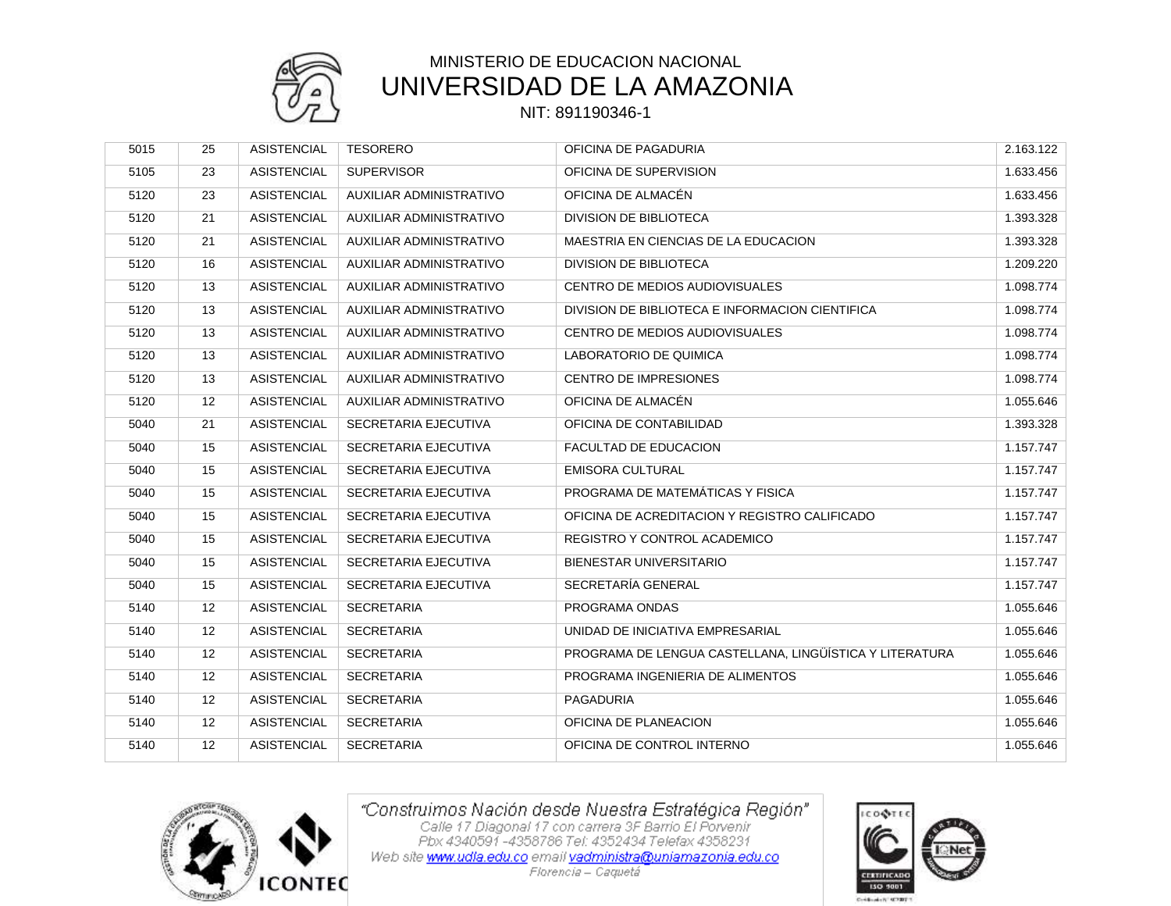

# MINISTERIO DE EDUCACION NACIONAL UNIVERSIDAD DE LA AMAZONIA

### NIT: 891190346-1

| 5015 | 25 | <b>ASISTENCIAL</b> | <b>TESORERO</b>                | OFICINA DE PAGADURIA                                    | 2.163.122 |
|------|----|--------------------|--------------------------------|---------------------------------------------------------|-----------|
| 5105 | 23 | <b>ASISTENCIAL</b> | <b>SUPERVISOR</b>              | OFICINA DE SUPERVISION                                  | 1.633.456 |
| 5120 | 23 | <b>ASISTENCIAL</b> | AUXILIAR ADMINISTRATIVO        | OFICINA DE ALMACÉN                                      | 1.633.456 |
| 5120 | 21 | <b>ASISTENCIAL</b> | AUXILIAR ADMINISTRATIVO        | <b>DIVISION DE BIBLIOTECA</b>                           | 1.393.328 |
| 5120 | 21 | <b>ASISTENCIAL</b> | AUXILIAR ADMINISTRATIVO        | MAESTRIA EN CIENCIAS DE LA EDUCACION                    | 1.393.328 |
| 5120 | 16 | <b>ASISTENCIAL</b> | AUXILIAR ADMINISTRATIVO        | <b>DIVISION DE BIBLIOTECA</b>                           | 1.209.220 |
| 5120 | 13 | <b>ASISTENCIAL</b> | AUXILIAR ADMINISTRATIVO        | CENTRO DE MEDIOS AUDIOVISUALES                          | 1.098.774 |
| 5120 | 13 | <b>ASISTENCIAL</b> | AUXILIAR ADMINISTRATIVO        | DIVISION DE BIBLIOTECA E INFORMACION CIENTIFICA         | 1.098.774 |
| 5120 | 13 | <b>ASISTENCIAL</b> | AUXILIAR ADMINISTRATIVO        | CENTRO DE MEDIOS AUDIOVISUALES                          | 1.098.774 |
| 5120 | 13 | <b>ASISTENCIAL</b> | <b>AUXILIAR ADMINISTRATIVO</b> | LABORATORIO DE QUIMICA                                  | 1.098.774 |
| 5120 | 13 | <b>ASISTENCIAL</b> | AUXILIAR ADMINISTRATIVO        | <b>CENTRO DE IMPRESIONES</b>                            | 1.098.774 |
| 5120 | 12 | <b>ASISTENCIAL</b> | <b>AUXILIAR ADMINISTRATIVO</b> | OFICINA DE ALMACÉN                                      | 1.055.646 |
| 5040 | 21 | <b>ASISTENCIAL</b> | SECRETARIA EJECUTIVA           | OFICINA DE CONTABILIDAD                                 | 1.393.328 |
| 5040 | 15 | <b>ASISTENCIAL</b> | SECRETARIA EJECUTIVA           | FACULTAD DE EDUCACION                                   | 1.157.747 |
| 5040 | 15 | <b>ASISTENCIAL</b> | SECRETARIA EJECUTIVA           | <b>EMISORA CULTURAL</b>                                 | 1.157.747 |
| 5040 | 15 | <b>ASISTENCIAL</b> | SECRETARIA EJECUTIVA           | PROGRAMA DE MATEMÁTICAS Y FISICA                        | 1.157.747 |
| 5040 | 15 | <b>ASISTENCIAL</b> | SECRETARIA EJECUTIVA           | OFICINA DE ACREDITACION Y REGISTRO CALIFICADO           | 1.157.747 |
| 5040 | 15 | <b>ASISTENCIAL</b> | SECRETARIA EJECUTIVA           | REGISTRO Y CONTROL ACADEMICO                            | 1.157.747 |
| 5040 | 15 | <b>ASISTENCIAL</b> | SECRETARIA EJECUTIVA           | BIENESTAR UNIVERSITARIO                                 | 1.157.747 |
| 5040 | 15 | <b>ASISTENCIAL</b> | SECRETARIA EJECUTIVA           | SECRETARÍA GENERAL                                      | 1.157.747 |
| 5140 | 12 | <b>ASISTENCIAL</b> | <b>SECRETARIA</b>              | PROGRAMA ONDAS                                          | 1.055.646 |
| 5140 | 12 | <b>ASISTENCIAL</b> | <b>SECRETARIA</b>              | UNIDAD DE INICIATIVA EMPRESARIAL                        | 1.055.646 |
| 5140 | 12 | <b>ASISTENCIAL</b> | <b>SECRETARIA</b>              | PROGRAMA DE LENGUA CASTELLANA, LINGÜÍSTICA Y LITERATURA | 1.055.646 |
| 5140 | 12 | <b>ASISTENCIAL</b> | <b>SECRETARIA</b>              | PROGRAMA INGENIERIA DE ALIMENTOS                        | 1.055.646 |
| 5140 | 12 | <b>ASISTENCIAL</b> | <b>SECRETARIA</b>              | PAGADURIA                                               | 1.055.646 |
| 5140 | 12 | <b>ASISTENCIAL</b> | <b>SECRETARIA</b>              | OFICINA DE PLANEACION                                   | 1.055.646 |
| 5140 | 12 | <b>ASISTENCIAL</b> | <b>SECRETARIA</b>              | OFICINA DE CONTROL INTERNO                              | 1.055.646 |



"Construimos Nación desde Nuestra Estratégica Región"<br>Calle 17 Diagonal 17 con carrera 3F Barrio El Porvenir<br>Pbx 4340591 -4358786 Tel: 4352434 Telefax 4358231 Web site www.udla.edu.co email yadministra@uniamazonia.edu.co

Florencia — Caquetá